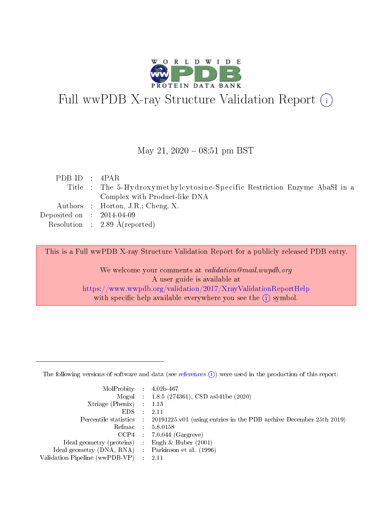

# Full wwPDB X-ray Structure Validation Report (i)

#### May 21,  $2020 - 08:51$  pm BST

| PDBID : 4PAR                |                                                                            |
|-----------------------------|----------------------------------------------------------------------------|
|                             | Title : The 5-Hydroxymethylcytosine-Specific Restriction Enzyme AbaSI in a |
|                             | Complex with Product-like DNA                                              |
|                             | Authors : Horton, J.R.; Cheng, X.                                          |
| Deposited on : $2014-04-09$ |                                                                            |
|                             | Resolution : 2.89 $\AA$ (reported)                                         |

This is a Full wwPDB X-ray Structure Validation Report for a publicly released PDB entry.

We welcome your comments at validation@mail.wwpdb.org A user guide is available at <https://www.wwpdb.org/validation/2017/XrayValidationReportHelp> with specific help available everywhere you see the  $(i)$  symbol.

The following versions of software and data (see [references](https://www.wwpdb.org/validation/2017/XrayValidationReportHelp#references)  $(1)$ ) were used in the production of this report:

| $MolProbability$ : 4.02b-467                      |                              |                                                                                            |
|---------------------------------------------------|------------------------------|--------------------------------------------------------------------------------------------|
|                                                   |                              | Mogul : $1.8.5$ (274361), CSD as 541be (2020)                                              |
| Xtriage (Phenix) $: 1.13$                         |                              |                                                                                            |
| EDS –                                             | $\sim$                       | -2.11                                                                                      |
|                                                   |                              | Percentile statistics : 20191225.v01 (using entries in the PDB archive December 25th 2019) |
| Refmac : 5.8.0158                                 |                              |                                                                                            |
| CCP4                                              |                              | $7.0.044$ (Gargrove)                                                                       |
| Ideal geometry (proteins)                         | $\mathcal{L}_{\mathrm{eff}}$ | Engh & Huber $(2001)$                                                                      |
| Ideal geometry (DNA, RNA) Parkinson et al. (1996) |                              |                                                                                            |
| Validation Pipeline (wwPDB-VP) : 2.11             |                              |                                                                                            |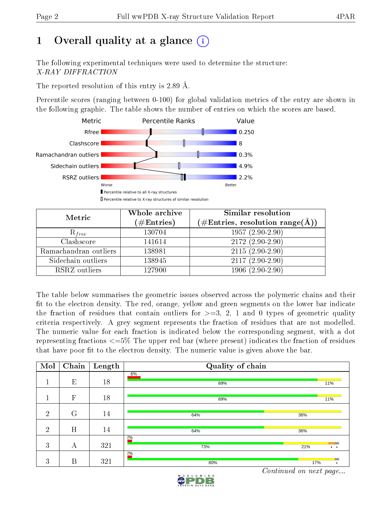# 1 [O](https://www.wwpdb.org/validation/2017/XrayValidationReportHelp#overall_quality)verall quality at a glance  $(i)$

The following experimental techniques were used to determine the structure: X-RAY DIFFRACTION

The reported resolution of this entry is 2.89 Å.

Percentile scores (ranging between 0-100) for global validation metrics of the entry are shown in the following graphic. The table shows the number of entries on which the scores are based.



| Metric                | Whole archive<br>$(\#\text{Entries})$ | Similar resolution<br>(#Entries, resolution range(Å)) |
|-----------------------|---------------------------------------|-------------------------------------------------------|
| $R_{free}$            | 130704                                | $1957(2.90-2.90)$                                     |
| Clashscore            | 141614                                | $2172(2.90-2.90)$                                     |
| Ramachandran outliers | 138981                                | $2115(2.90-2.90)$                                     |
| Sidechain outliers    | 138945                                | $2117(2.90-2.90)$                                     |
| RSRZ outliers         | 127900                                | $1906(2.90-2.90)$                                     |

The table below summarises the geometric issues observed across the polymeric chains and their fit to the electron density. The red, orange, yellow and green segments on the lower bar indicate the fraction of residues that contain outliers for  $>=3, 2, 1$  and 0 types of geometric quality criteria respectively. A grey segment represents the fraction of residues that are not modelled. The numeric value for each fraction is indicated below the corresponding segment, with a dot representing fractions  $\epsilon=5\%$  The upper red bar (where present) indicates the fraction of residues that have poor fit to the electron density. The numeric value is given above the bar.

| Mol            | Chain        | Length | Quality of chain |                             |
|----------------|--------------|--------|------------------|-----------------------------|
|                | E            | 18     | 6%<br>89%        | 11%                         |
|                | $\mathbf{F}$ | 18     | 89%              | 11%                         |
| $\overline{2}$ | G            | 14     | 64%              | 36%                         |
| $\overline{2}$ | H            | 14     | 64%              | 36%                         |
| 3              | А            | 321    | 20/0<br>73%      | 21%<br>$\ddot{\phantom{a}}$ |
| 3              | B            | 321    | 20/0<br>80%      | 17%<br>$\bullet$            |

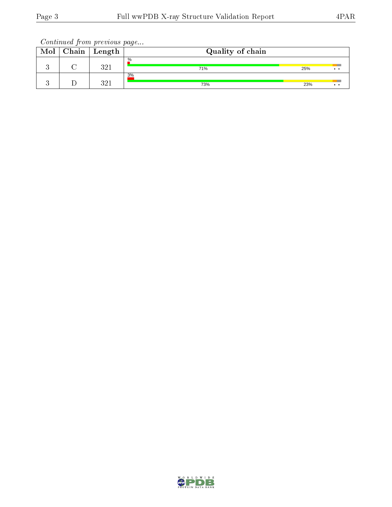| Mol | Chain | ' Length | Quality of chain |     |  |
|-----|-------|----------|------------------|-----|--|
|     |       | 991      | $\%$<br>71%      | 25% |  |
|     |       | 991      | 3%<br>73%        | 23% |  |

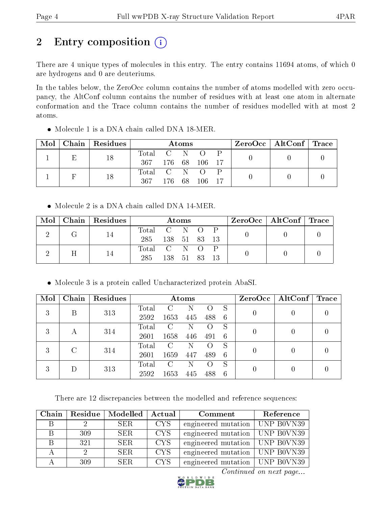# 2 Entry composition (i)

There are 4 unique types of molecules in this entry. The entry contains 11694 atoms, of which 0 are hydrogens and 0 are deuteriums.

In the tables below, the ZeroOcc column contains the number of atoms modelled with zero occupancy, the AltConf column contains the number of residues with at least one atom in alternate conformation and the Trace column contains the number of residues modelled with at most 2 atoms.

|  | $\text{Mol}$   Chain   Residues | Atoms             |               |  | $\text{ZeroOcc} \mid \text{AltConf} \mid \text{Trace}$ |  |  |
|--|---------------------------------|-------------------|---------------|--|--------------------------------------------------------|--|--|
|  | 18                              | Total C N O P     |               |  |                                                        |  |  |
|  |                                 | 367 176 68 106 17 |               |  |                                                        |  |  |
|  | 18                              | Total C N O       |               |  |                                                        |  |  |
|  |                                 | - 367 -           | 176 68 106 17 |  |                                                        |  |  |

Molecule 1 is a DNA chain called DNA 18-MER.

• Molecule 2 is a DNA chain called DNA 14-MER.

|   | $Mol$   Chain   Residues |                  |           | Atoms |  |  | $\text{ZeroOcc} \mid \text{AltConf} \mid \text{Trace}$ |  |
|---|--------------------------|------------------|-----------|-------|--|--|--------------------------------------------------------|--|
|   |                          | Total C N O P    |           |       |  |  |                                                        |  |
|   |                          | 285 138 51 83 13 |           |       |  |  |                                                        |  |
| Η |                          | Total C N O P    |           |       |  |  |                                                        |  |
|   |                          | 285              | 138 51 83 |       |  |  |                                                        |  |

Molecule 3 is a protein called Uncharacterized protein AbaSI.

| Mol | Chain  | Residues |       |      | Atoms |     |   | ZeroOcc | AltConf | $\operatorname{Trace}$ |
|-----|--------|----------|-------|------|-------|-----|---|---------|---------|------------------------|
| 3   | В      | 313      | Total |      |       |     | S |         |         |                        |
|     |        |          | 2592  | 1653 | 445   | 488 | 6 |         |         |                        |
| 3   |        | 314      | Total | C    | Ν     |     | S |         |         |                        |
|     | А      |          | 2601  | 1658 | 446   | 491 | 6 |         |         |                        |
| 3   | C      | 314      | Total | C    | N     |     | S |         |         |                        |
|     |        |          | 2601  | 1659 | 447   | 489 | 6 |         |         |                        |
| 3   |        |          | Total | C    | N     |     | S |         |         |                        |
|     | $\Box$ | 313      | 2592  | 1653 | 445   | 488 | 6 |         |         |                        |

There are 12 discrepancies between the modelled and reference sequences:

| Chain |     | Residue   Modelled | Actual     | Comment                                   | Reference |
|-------|-----|--------------------|------------|-------------------------------------------|-----------|
|       |     | SER.               | CYS.       | engineered mutation   UNP B0VN39          |           |
|       | 309 | SER.               | <b>CYS</b> | engineered mutation   UNP B0VN39          |           |
|       | 321 | SER.               | <b>CYS</b> | engineered mutation   UNP B0 $\sqrt{N39}$ |           |
|       |     | SER.               | <b>CYS</b> | engineered mutation   UNP B0VN39          |           |
|       | 309 | SER.               | CYS.       | engineered mutation   UNP B0VN39          |           |

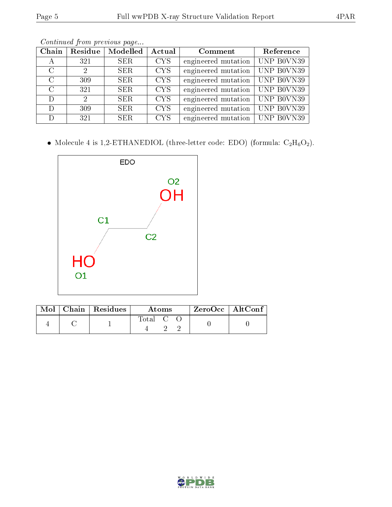| Chain         | Residue       | $\overline{\textbf{Model}}$ | Actual     | Comment                          | Reference          |
|---------------|---------------|-----------------------------|------------|----------------------------------|--------------------|
| А             | 321           | SER.                        | <b>CYS</b> | engineered mutation              | UNP B0VN39         |
| $\mathcal{C}$ | $\mathcal{D}$ | SER.                        | <b>CYS</b> | engineered mutation              | UNP B0VN39         |
| $\rm C$       | 309           | <b>SER</b>                  | <b>CYS</b> | engineered mutation              | $ $ UNP B0VN39     |
| $\mathcal{C}$ | 321           | <b>SER</b>                  | <b>CYS</b> | engineered mutation              | $ $ UNP B0VN39     |
| D             | $\mathcal{D}$ | SER.                        | <b>CYS</b> | engineered mutation              | $\vert$ UNP B0VN39 |
| D             | 309           | <b>SER</b>                  | <b>CYS</b> | engineered mutation              | UNP B0VN39         |
| D             | 321           | <b>SER</b>                  | <b>CYS</b> | engineered mutation   UNP B0VN39 |                    |

 $\bullet$  Molecule 4 is 1,2-ETHANEDIOL (three-letter code: EDO) (formula:  $\rm{C_2H_6O_2}).$ 



|  | Mol   Chain   Residues | Atoms                                  |  |  | $\rm ZeroOcc$   Alt $\rm Conf$ |
|--|------------------------|----------------------------------------|--|--|--------------------------------|
|  |                        | $\overline{C}$ total $\overline{C}$ to |  |  |                                |

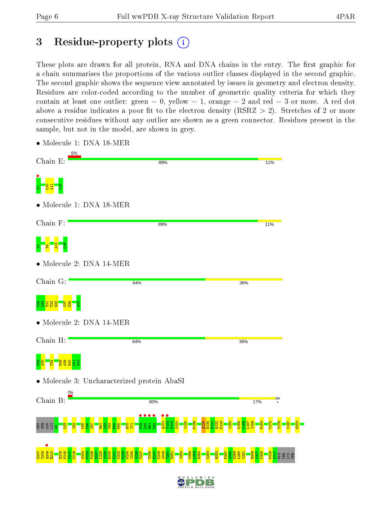# 3 Residue-property plots  $(i)$

These plots are drawn for all protein, RNA and DNA chains in the entry. The first graphic for a chain summarises the proportions of the various outlier classes displayed in the second graphic. The second graphic shows the sequence view annotated by issues in geometry and electron density. Residues are color-coded according to the number of geometric quality criteria for which they contain at least one outlier: green  $= 0$ , yellow  $= 1$ , orange  $= 2$  and red  $= 3$  or more. A red dot above a residue indicates a poor fit to the electron density (RSRZ  $> 2$ ). Stretches of 2 or more consecutive residues without any outlier are shown as a green connector. Residues present in the sample, but not in the model, are shown in grey.

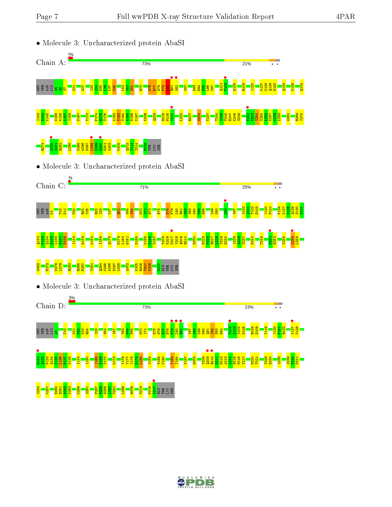



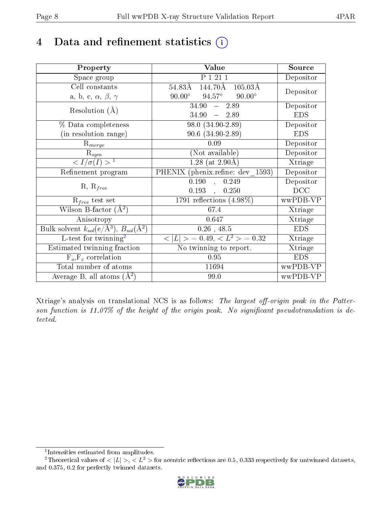# 4 Data and refinement statistics  $(i)$

| Property                                                             | Value                                                    | Source     |
|----------------------------------------------------------------------|----------------------------------------------------------|------------|
| Space group                                                          | P 1 21 1                                                 | Depositor  |
| Cell constants                                                       | 144.70Å<br>$105.03\text{\AA}$<br>54.83Å                  |            |
| a, b, c, $\alpha$ , $\beta$ , $\gamma$                               | $90.00^\circ$<br>$94.57^\circ$<br>$90.00^\circ$          | Depositor  |
| Resolution $(A)$                                                     | 34.90<br>$-2.89$                                         | Depositor  |
|                                                                      | 34.90<br>$-2.89$                                         | <b>EDS</b> |
| % Data completeness                                                  | 98.0 (34.90-2.89)                                        | Depositor  |
| (in resolution range)                                                | $90.6$ $(34.90-2.89)$                                    | <b>EDS</b> |
| $R_{merge}$                                                          | 0.09                                                     | Depositor  |
| $\mathrm{R}_{sym}$                                                   | (Not available)                                          | Depositor  |
| $\langle I/\sigma(I) \rangle^{-1}$                                   | $1.28$ (at 2.90Å)                                        | Xtriage    |
| Refinement program                                                   | PHENIX (phenix.refine: dev 1593)                         | Depositor  |
|                                                                      | 0.190<br>0.249<br>$\sim$                                 | Depositor  |
| $R, R_{free}$                                                        | $0.193$ ,<br>0.250                                       | DCC        |
| $R_{free}$ test set                                                  | 1791 reflections $(4.98\%)$                              | wwPDB-VP   |
| Wilson B-factor $(A^2)$                                              | 67.4                                                     | Xtriage    |
| Anisotropy                                                           | 0.647                                                    | Xtriage    |
| Bulk solvent $k_{sol}(e/\mathring{A}^3)$ , $B_{sol}(\mathring{A}^2)$ | $0.26$ , 48.5                                            | <b>EDS</b> |
| L-test for twinning <sup>2</sup>                                     | $\langle  L  \rangle = 0.49, \langle L^2 \rangle = 0.32$ | Xtriage    |
| Estimated twinning fraction                                          | No twinning to report.                                   | Xtriage    |
| $F_o, F_c$ correlation                                               | 0.95                                                     | <b>EDS</b> |
| Total number of atoms                                                | 11694                                                    | wwPDB-VP   |
| Average B, all atoms $(A^2)$                                         | 99.0                                                     | wwPDB-VP   |

Xtriage's analysis on translational NCS is as follows: The largest off-origin peak in the Patterson function is  $11.07\%$  of the height of the origin peak. No significant pseudotranslation is detected.

<sup>&</sup>lt;sup>2</sup>Theoretical values of  $\langle |L| \rangle$ ,  $\langle L^2 \rangle$  for acentric reflections are 0.5, 0.333 respectively for untwinned datasets, and 0.375, 0.2 for perfectly twinned datasets.



<span id="page-7-1"></span><span id="page-7-0"></span><sup>1</sup> Intensities estimated from amplitudes.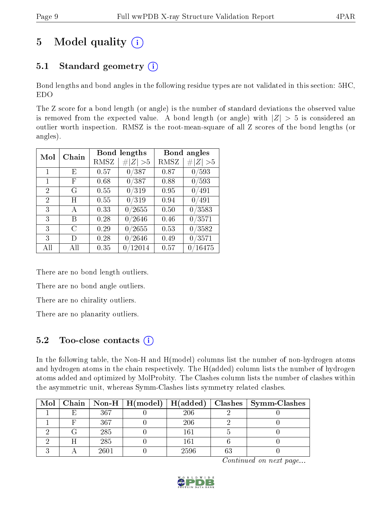# 5 Model quality  $(i)$

# 5.1 Standard geometry  $(i)$

Bond lengths and bond angles in the following residue types are not validated in this section: 5HC, EDO

The Z score for a bond length (or angle) is the number of standard deviations the observed value is removed from the expected value. A bond length (or angle) with  $|Z| > 5$  is considered an outlier worth inspection. RMSZ is the root-mean-square of all Z scores of the bond lengths (or angles).

| Mol            | Chain |      | <b>Bond lengths</b> | Bond angles |                            |
|----------------|-------|------|---------------------|-------------|----------------------------|
|                |       | RMSZ | Z   > 5             | RMSZ        | # $ Z  > 5$                |
| 1              | E     | 0.57 | 0/387               | 0.87        | 0/593                      |
| 1              | F     | 0.68 | 0/387               | 0.88        | 0/593                      |
| 2              | G     | 0.55 | 0/319               | 0.95        | 0/491                      |
| $\overline{2}$ | Η     | 0.55 | 0/319               | 0.94        | 0/491                      |
| 3              | А     | 0.33 | 0/2655              | 0.50        | 0/3583                     |
| 3              | В     | 0.28 | 0/2646              | 0.46        | 0/3571                     |
| 3              | С     | 0.29 | 0/2655              | 0.53        | 0/3582                     |
| 3              | D)    | 0.28 | $^\prime2646$<br>0  | 0.49        | 0/3571                     |
| All            | All   | 0.35 | 0/12014             | 0.57        | /16475<br>$\left( \right)$ |

There are no bond length outliers.

There are no bond angle outliers.

There are no chirality outliers.

There are no planarity outliers.

### $5.2$  Too-close contacts  $(i)$

In the following table, the Non-H and H(model) columns list the number of non-hydrogen atoms and hydrogen atoms in the chain respectively. The H(added) column lists the number of hydrogen atoms added and optimized by MolProbity. The Clashes column lists the number of clashes within the asymmetric unit, whereas Symm-Clashes lists symmetry related clashes.

|  |      |      | Mol   Chain   Non-H   H(model)   H(added)   Clashes   Symm-Clashes |
|--|------|------|--------------------------------------------------------------------|
|  | 367  | 206  |                                                                    |
|  | 367  | 206  |                                                                    |
|  | 285  | 161  |                                                                    |
|  | 285  | 161  |                                                                    |
|  | 2601 | 2596 |                                                                    |

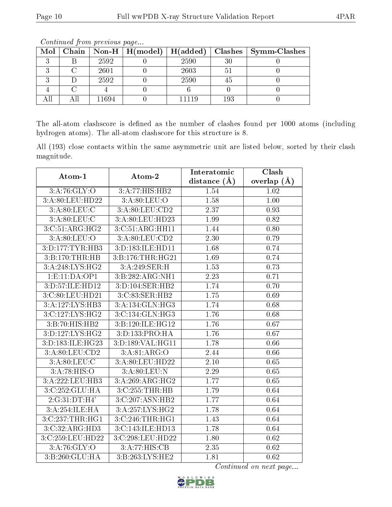| Mol |       | Chain   Non-H   $H (model)$   $H (added)$ |      | Clashes | $\vert$ Symm-Clashes |
|-----|-------|-------------------------------------------|------|---------|----------------------|
|     | 2592  |                                           | 2590 | 30      |                      |
|     | 2601  |                                           | 2603 | 5       |                      |
|     | 2592  |                                           | 2590 | 45      |                      |
|     |       |                                           |      |         |                      |
|     | 11694 |                                           |      | 193     |                      |

The all-atom clashscore is defined as the number of clashes found per 1000 atoms (including hydrogen atoms). The all-atom clashscore for this structure is 8.

All (193) close contacts within the same asymmetric unit are listed below, sorted by their clash magnitude.

| Atom-1                      | Atom-2                       | Interatomic    | Clash         |
|-----------------------------|------------------------------|----------------|---------------|
|                             |                              | distance $(A)$ | overlap $(A)$ |
| 3:A:76:GLY:O                | 3:A:77:HIS:HB2               | 1.54           | 1.02          |
| 3:A:80:LEU:HD22             | 3: A:80:LEU:O                | 1.58           | 1.00          |
| 3:A:80:LEU:C                | 3:A:80:LEU:CD2               | 2.37           | 0.93          |
| 3:A:80:LEU:C                | 3:A:80:LEU:HD23              | 1.99           | 0.82          |
| 3:C:51:ARG:HG2              | 3:C:51:ARG:HH11              | 1.44           | 0.80          |
| 3: A:80: LEU:O              | 3:A:80:LEU:CD2               | 2.30           | 0.79          |
| 3:D:177:TYR:HB3             | 3:D:183:ILE:HD11             | 1.68           | 0.74          |
| 3:B:170:THR:HB              | 3:B:176:THR:HG21             | 1.69           | 0.74          |
| 3:A:248:LYS:HG2             | 3:A:249:SER:H                | 1.53           | 0.73          |
| 1: E: 11: DA: OP1           | $3:B:282:\overline{ARG:NH1}$ | 2.23           | 0.71          |
| 3: D: 57: ILE: HD12         | 3:D:104:SER:HB2              | 1.74           | 0.70          |
| 3:C:80:LEU:HD21             | 3:C:83:SER:HB2               | 1.75           | 0.69          |
| 3:A:127:LYS:HB3             | 3:A:134:GLN:HG3              | 1.74           | 0.68          |
| 3:C:127:LYS:HG2             | 3:C:134:GLN:HG3              | 1.76           | 0.68          |
| 3:B:70:HIS:HB2              | 3:B:120:ILE:HG12             | 1.76           | 0.67          |
| 3:D:127:LYS:HG2             | 3:D:133:PRO:HA               | 1.76           | 0.67          |
| 3:D:183:ILE:HG23            | 3:D:189:VAL:HG11             | 1.78           | 0.66          |
| 3:A:80:LEU:CD2              | 3:A:81:ARG:O                 | 2.44           | 0.66          |
| 3: A:80: LEU: C             | 3:A:80:LEU:HD22              | 2.10           | 0.65          |
| 3:A:78:HIS:O                | 3:A:80:LEU:N                 | 2.29           | 0.65          |
| 3:A:222:LEU:HB3             | 3:A:269:ARG:HG2              | 1.77           | 0.65          |
| 3:C:252:GLU:HA              | 3:C:255:THR:HB               | 1.79           | 0.64          |
| 2:G:31:DT:H4'               | 3:C:207:ASN:HB2              | 1.77           | 0.64          |
| 3:A:254:ILE:HA              | 3:A:257:LYS:HG2              | 1.78           | 0.64          |
| 3:C:237:THR:HGI             | 3:C:246:THR:HG1              | 1.43           | 0.64          |
| 3:C:32:ARG:HD3              | 3:C:143:ILE:HD13             | 1.78           | 0.64          |
| 3:C:259:LEU:HD22            | 3:C:298:LEU:HD22             | 1.80           | 0.62          |
| 3: A:76: GLY:O              | 3:A:77:HIS:CB                | 2.35           | 0.62          |
| $3:B:260:\overline{GLU:HA}$ | 3:B:263:LYS:HE2              | 1.81           | 0.62          |

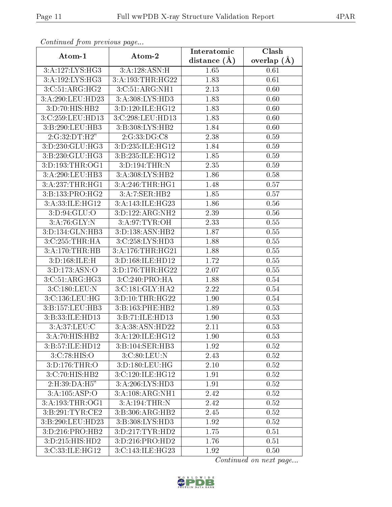| Continuea from previous page |                                | Interatomic    | Clash         |
|------------------------------|--------------------------------|----------------|---------------|
| Atom-1                       | Atom-2                         | distance $(A)$ | overlap $(A)$ |
| 3:A:127:LYS:HG3              | 3:A:128:ASN:H                  | 1.65           | 0.61          |
| 3:A:192:LYS:HG3              | 3:A:193:THR:HG22               | 1.83           | 0.61          |
| 3:C:51:ARG:HG2               | 3:C:51:ARG:NH1                 | 2.13           | 0.60          |
| 3:A:290:LEU:HD23             | 3:A:308:LYS:HD3                | 1.83           | 0.60          |
| 3:D:70:HIS:HB2               | 3:D:120:ILE:HG12               | 1.83           | 0.60          |
| 3:C:259:LEU:HD13             | 3:C:298:LEU:HD13               | 1.83           | 0.60          |
| 3:B:290:LEU:HB3              | 3:B:308:LYS:HB2                | 1.84           | 0.60          |
| 2:G:32:DT:H2"                | 2:G:33:DG:CS                   | 2.38           | 0.59          |
| 3:D:230:GLU:HG3              | 3:D:235:ILE:HG12               | 1.84           | 0.59          |
| 3:B:230:GLU:HG3              | 3:B:235:ILE:HG12               | 1.85           | 0.59          |
| 3: D: 193: THR: OG1          | 3:D:194:THR:N                  | 2.35           | 0.59          |
| 3:A:290:LEU:HB3              | 3:A:308:LYS:HB2                | 1.86           | 0.58          |
| 3:A:237:THR:HGI              | 3:A:246:THR:HGI                | 1.48           | 0.57          |
| 3:B:133:PRO:HG2              | 3:A:7:SER:HB2                  | 1.85           | 0.57          |
| 3:A:33:ILE:HG12              | 3:A:143:ILE:HG23               | 1.86           | 0.56          |
| 3: D:94: GLU:O               | 3:D:122:ARG:NH2                | 2.39           | 0.56          |
| 3:A:76:GLY:N                 | 3:A:97:TYR:OH                  | 2.33           | 0.55          |
| $3:D:134:GLN:H\overline{B3}$ | 3:D:138:ASN:HB2                | 1.87           | 0.55          |
| 3:C:255:THR:HA               | 3:C:258:LYS:HD3                | 1.88           | 0.55          |
| 3:A:170:THR:HB               | 3:A:176:THR:HG21               | 1.88           | 0.55          |
| 3:D:168:ILE:H                | 3:D:168:ILE:HD12               | 1.72           | 0.55          |
| 3:D:173:ASN:O                | 3:D:176:THR:HG22               | 2.07           | 0.55          |
| 3:C:51:ARG:HG3               | 3:C:240:PRO:HA                 | 1.88           | 0.54          |
| 3:C:180:LEU:N                | 3:C:181:GLY:HA2                | 2.22           | 0.54          |
| 3:C:136:LEU:HG               | 3:D:10:THR:HG22                | 1.90           | 0.54          |
| 3:B:157:LEU:HB3              | 3:B:163:PHE:HB2                | 1.89           | 0.53          |
| 3:B:33:ILE:HD13              | 3:B:71:ILE:HD13                | 1.90           | 0.53          |
| 3:A:37:LEU:C                 | 3:A:38:ASN:HD22                | 2.11           | 0.53          |
| 3:A:70:HIS:HB2               | 3:A:120:ILE:HG12               | 1.90           | 0.53          |
| 3:B:57:ILE:HD12              | 3:B:104:SER:HB3                | 1.92           | 0.52          |
| 3:C:78:HIS:O                 | 3:C:80:LEU:N                   | 2.43           | 0.52          |
| 3:D:176:THR:O                | 3:D:180:LEU:HG                 | 2.10           | 0.52          |
| 3:C:70:HIS:HB2               | 3:C:120:ILE:HG12               | 1.91           | 0.52          |
| 2:H:39:DA:H5"                | 3:A:206:LYS:HD3                | 1.91           | $0.52\,$      |
| 3:A:105:ASP:O                | 3:A:108:ARG:NH1                | 2.42           | 0.52          |
| 3:A:193:THR:OG1              | 3:A:194:THR:N                  | 2.42           | 0.52          |
| 3:B:291:TYR:CE2              | 3:B:306:ARG:HB2                | 2.45           | 0.52          |
| 3:B:290:LEU:HD23             | $3: B:308: LY\overline{S:HD3}$ | 1.92           | 0.52          |
| 3:D:216:PRO:HB2              | 3:D:217:TYR:HD2                | 1.75           | 0.51          |
| 3:D:215:HIS:HD2              | 3:D:216:PRO:HD2                | 1.76           | 0.51          |
| 3:C:33:ILE:HG12              | 3:C:143:ILE:HG23               | 1.92           | 0.50          |

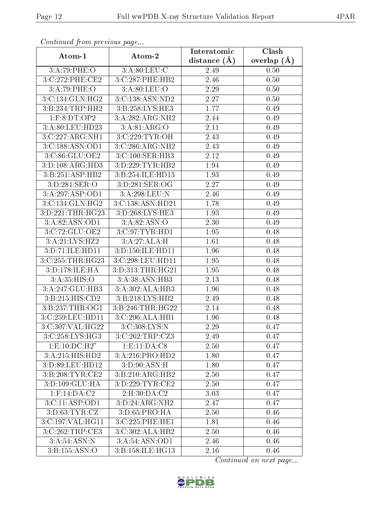| Continuati prom provious pago |                                   | Interatomic       | $\overline{\text{Clash}}$ |
|-------------------------------|-----------------------------------|-------------------|---------------------------|
| Atom-1                        | Atom-2                            | distance $(\AA)$  | overlap $(A)$             |
| 3:A:79:PHE:O                  | 3:A:80:LEU:C                      | 2.49              | 0.50                      |
| 3:C:272:PHE:CE2               | 3:C:287:PHE:HB2                   | 2.46              | 0.50                      |
| 3:A:79:PHE:O                  | 3: A:80:LEU:O                     | 2.29              | 0.50                      |
| 3:C:134:GLN:HG2               | 3:C:138:ASN:ND2                   | 2.27              | 0.50                      |
| 3:B:234:TRP:HH2               | 3:B:258:LYS:HE3                   | 1.77              | 0.49                      |
| $1:$ F:8:DT:OP2               | 3:A:282:ARG:NH2                   | 2.44              | 0.49                      |
| 3:A:80:LEU:HD23               | 3: A:81: ARG:O                    | 2.11              | 0.49                      |
| 3:C:227:ARG:NH1               | 3:C:229:TYR:OH                    | 2.43              | 0.49                      |
| 3:C:188:ASN:OD1               | 3:C:286:ARG:NH2                   | 2.43              | 0.49                      |
| 3:C:86:GLU:OE2                | 3:C:100:SER:HB3                   | 2.12              | 0.49                      |
| 3:D:108:ARG:HD3               | 3:D:229:TYR:HB2                   | 1.94              | 0.49                      |
| 3:B:251:ASP:HB2               | 3:B:254:ILE:HD13                  | 1.93              | 0.49                      |
| 3:D:281:SER:O                 | 3:D:281:SER:OG                    | 2.27              | 0.49                      |
| 3:A:297:ASP:OD1               | 3:A:298:LEU:N                     | 2.46              | 0.49                      |
| 3:C:134:GLN:HG2               | 3:C:138:ASN:HD21                  | 1.78              | 0.49                      |
| 3:D:221:THR:HG23              | 3:D:268:LYS:HE3                   | 1.93              | 0.49                      |
| 3:A:82:ASN:OD1                | 3:A:82:ASN:O                      | 2.30              | 0.49                      |
| 3:C:72:GLU:OE2                | 3:C:97:TYR:HD1                    | 1.95              | 0.48                      |
| 3:A:21:LYS:HZ2                | 3:A:27:ALA:H                      | 1.61              | 0.48                      |
| 3:D:71:ILE:HD11               | 3:D:150:ILE:HD11                  | 1.96              | 0.48                      |
| 3:C:255:THR:HG23              | 3:C:298:LEU:HD11                  | 1.95              | 0.48                      |
| 3:D:178:ILE:HA                | 3:D:313:THR:HG21                  | 1.95              | 0.48                      |
| 3: A:35: HIS: O               | 3:A:38:ASN:HB3                    | 2.13              | 0.48                      |
| 3:A:247:GLU:HB3               | 3:A:302:ALA:HB3                   | 1.96              | 0.48                      |
| 3: B: 215: HIS: CD2           | 3:B:218:LYS:HB2                   | 2.49              | 0.48                      |
| 3:B:237:THR:OG1               | 3:B:246:THR:HG22                  | 2.14              | 0.48                      |
| 3:C:259:LEU:HD11              | 3:C:296:ALA:HB1                   | 1.96              | 0.48                      |
| 3:C:307:VAL:HG22              | $3:C:308:\overline{\text{LYS:N}}$ | $\overline{2.29}$ | 0.47                      |
| 3:C:258:LYS:HG3               | 3:C:262:TRP:CZ3                   | 2.49              | 0.47                      |
| 1: E: 10: DC: H2"             | 1: E: 11: DA: C8                  | 2.50              | 0.47                      |
| 3:A:215:HIS:HD2               | 3:A:216:PRO:HD2                   | 1.80              | 0.47                      |
| 3:D:89:LEU:HD12               | 3:D:90:ASN:H                      | 1.80              | 0.47                      |
| 3: B:208: TYR: CE2            | 3:B:210:ARG:HB2                   | 2.50              | 0.47                      |
| 3:D:109:GLU:HA                | 3:D:229:TYR:CE2                   | 2.50              | 0.47                      |
| $1:$ F:14:DA:C2               | 2: H:30:DA:C2                     | 3.03              | 0.47                      |
| 3:C:11:ASP:OD1                | 3:D:24:ARG:NH2                    | 2.47              | 0.47                      |
| 3: D: 63: TYR: CZ             | 3: D:65: PRO:HA                   | 2.50              | 0.46                      |
| 3:C:197:VAL:HG11              | 3:C:225:PHE:HE1                   | 1.81              | 0.46                      |
| 3:C:262:TRP:CE3               | 3:C:302:ALA:HB2                   | 2.50              | 0.46                      |
| 3:A:54:ASN:N                  | 3:A:54:ASN:OD1                    | 2.46              | 0.46                      |
| 3: B: 155: ASN: O             | 3:B:158:ILE:HG13                  | 2.16              | 0.46                      |

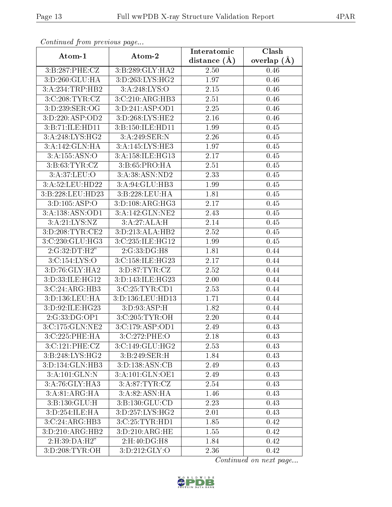| commune from previous page         |                     | Interatomic    | Clash           |
|------------------------------------|---------------------|----------------|-----------------|
| Atom-1                             | Atom-2              | distance $(A)$ | overlap $(\AA)$ |
| 3:B:287:PHE:CZ                     | 3:B:289:GLY:HA2     | 2.50           | 0.46            |
| 3:D:260:GLU:HA                     | 3: D: 263: LYS: HG2 | 1.97           | 0.46            |
| 3:A:234:TRP:HB2                    | 3: A:248: LYS:O     | 2.15           | 0.46            |
| 3:C:208:TYR:CZ                     | 3:C:210:ARG:HB3     | 2.51           | 0.46            |
| $3:D:239:\overline{\text{SER:OG}}$ | 3:D:241:ASP:OD1     | 2.25           | 0.46            |
| 3:D:220:ASP:OD2                    | 3:D:268:LYS:HE2     | 2.16           | 0.46            |
| 3:B:71:ILE:HD11                    | 3:B:150:ILE:HD11    | 1.99           | 0.45            |
| 3:A:248:LYS:HG2                    | 3:A:249:SER:N       | 2.26           | 0.45            |
| 3:A:142:GLN:HA                     | 3:A:145:LYS:HE3     | 1.97           | 0.45            |
| 3:A:155:ASN:O                      | 3:A:158:ILE:HG13    | 2.17           | 0.45            |
| 3: B: 63: TYR: CZ                  | 3:B:65:PRO:HA       | 2.51           | 0.45            |
| 3:A:37:LEU:O                       | 3:A:38:ASN:ND2      | 2.33           | 0.45            |
| 3:A:52:LEU:HD22                    | 3:A:94:GLU:HB3      | 1.99           | 0.45            |
| 3:B:228:LEU:HD23                   | 3:B:228:LEU:HA      | 1.81           | 0.45            |
| 3:D:105:ASP:O                      | 3: D: 108: ARG: HG3 | 2.17           | 0.45            |
| 3:A:138:ASN:OD1                    | 3:A:142:GLN:NE2     | 2.43           | 0.45            |
| 3:A:21:LYS:NZ                      | 3:A:27:ALA:H        | 2.14           | 0.45            |
| 3:D:208:TYR:CE2                    | 3:D:213:ALA:HB2     | 2.52           | 0.45            |
| 3:C:230:GLU:HG3                    | 3:C:235:ILE:HG12    | 1.99           | 0.45            |
| 2:G:32:DT:H2"                      | 2:G:33:DG:H8        | 1.81           | 0.44            |
| 3:C:154:LYS:O                      | 3:C:158:ILE:HG23    | 2.17           | 0.44            |
| 3:D:76:GLY:HA2                     | 3: D:87: TYR: CZ    | 2.52           | 0.44            |
| 3:D:33:ILE:HG12                    | 3:D:143:ILE:HG23    | $2.00\,$       | 0.44            |
| 3:C:24:ARG:HB3                     | 3:C:25:TYR:CD1      | 2.53           | 0.44            |
| 3: D: 136: LEU: HA                 | 3:D:136:LEU:HD13    | 1.71           | 0.44            |
| 3:D:92:ILE:HG23                    | 3:D:93:ASP:H        | 1.82           | 0.44            |
| 2:G:33:DG:OP1                      | 3:C:205:TYR:OH      | 2.20           | 0.44            |
| 3:C:175:GLN:NE2                    | 3: C: 179: ASP: OD1 | 2.49           | 0.43            |
| 3:C:225:PHE:HA                     | 3:C:272:PHE:O       | 2.18           | 0.43            |
| 3:C:121:PHE:CZ                     | 3:C:149:GLU:HG2     | 2.53           | 0.43            |
| 3: B: 248: LYS: HG2                | 3: B:249: SER:H     | 1.84           | 0.43            |
| 3:D:134:GLN:HB3                    | 3: D: 138: ASN: CB  | 2.49           | 0.43            |
| $3:A:101:GLN:\overline{N}$         | 3:A:101:GLN:OE1     | 2.49           | 0.43            |
| 3:A:76:GLY:HA3                     | 3:A:87:TYR:CZ       | 2.54           | 0.43            |
| 3: A:81: ARG: HA                   | 3: A:82: ASN: HA    | 1.46           | 0.43            |
| 3:B:130:GLU:H                      | 3: B: 130: GLU: CD  | 2.23           | 0.43            |
| 3:D:254:ILE:HA                     | 3:D:257:LYS:HG2     | 2.01           | 0.43            |
| 3:C:24:ARG:HB3                     | 3:C:25:TYR:HD1      | 1.85           | 0.42            |
| 3:D:210:ARG:HB2                    | 3:D:210:ARG:HE      | 1.55           | 0.42            |
| 2:H:39:DA:H2"                      | 2:H:40:DG:H8        | 1.84           | 0.42            |
| 3:D:208:TYR:OH                     | 3: D: 212: GLY:O    | 2.36           | 0.42            |

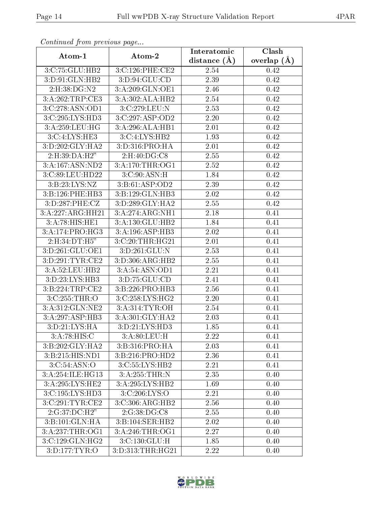| Continuati prom pretious page |                    | Interatomic       | Clash           |
|-------------------------------|--------------------|-------------------|-----------------|
| Atom-1                        | Atom-2             | distance $(\AA)$  | overlap $(\AA)$ |
| 3:C:75:GLU:HB2                | 3:C:126:PHE:CE2    | 2.54              | 0.42            |
| 3:D:91:GLN:HB2                | 3: D: 94: GLU: CD  | $\overline{2}.39$ | 0.42            |
| 2:H:38:DG:N2                  | 3:A:209:GLN:OE1    | 2.46              | 0.42            |
| 3:A:262:TRP:CE3               | 3:A:302:ALA:HB2    | 2.54              | 0.42            |
| 3:C:278:ASN:OD1               | 3:C:279:LEU:N      | 2.53              | 0.42            |
| 3: C: 295: LYS: HD3           | 3:C:297:ASP:OD2    | 2.20              | 0.42            |
| 3:A:259:LEU:HG                | 3:A:296:ALA:HB1    | 2.01              | 0.42            |
| 3:C:4:LYS:HE3                 | 3:C:4:LYS:HB2      | 1.93              | 0.42            |
| 3:D:202:GLY:HA2               | 3: D: 316: PRO: HA | 2.01              | 0.42            |
| 2:H:39:DA:H2"                 | 2:H:40:DG:C8       | 2.55              | 0.42            |
| 3:A:167:ASN:ND2               | 3:A:170:THR:OG1    | 2.52              | 0.42            |
| 3:C:89:LEU:HD22               | 3: C:90: ASN:H     | 1.84              | 0.42            |
| 3:B:23:LYS:NZ                 | 3:B:61:ASP:OD2     | 2.39              | 0.42            |
| 3:B:126:PHE:HB3               | 3:B:129:GLN:HB3    | 2.02              | 0.42            |
| 3:D:287:PHE:CZ                | 3:D:289:GLY:HA2    | 2.55              | 0.42            |
| 3:A:227:ARG:HH21              | 3:A:274:ARG:NH1    | 2.18              | 0.41            |
| 3:A:78:HIS:HE1                | 3:A:130:GLU:HB2    | 1.84              | 0.41            |
| 3:A:174:PRO:HG3               | 3:A:196:ASP:HB3    | 2.02              | 0.41            |
| $2:H:34:DT:\overline{H5}''$   | 3:C:20:THR:HG21    | 2.01              | 0.41            |
| 3:D:261:GLU:OE1               | 3:D:261:GLU:N      | 2.53              | 0.41            |
| 3:D:291:TYR:CE2               | 3:D:306:ARG:HB2    | 2.55              | 0.41            |
| 3:A:52:LEU:HB2                | 3:A:54:ASN:OD1     | 2.21              | 0.41            |
| 3:D:23:LYS:HB3                | 3:D:75:GLU:CD      | 2.41              | 0.41            |
| 3:B:224:TRP:CE2               | 3:B:226:PRO:HB3    | 2.56              | 0.41            |
| 3:C:255:THR:O                 | 3:C:258:LYS:HG2    | 2.20              | 0.41            |
| 3:A:312:GLN:NE2               | 3:A:314:TYR:OH     | 2.54              | 0.41            |
| 3:A:297:ASP:HB3               | 3:A:301:GLY:HA2    | 2.03              | 0.41            |
| 3: D: 21: LYS: HA             | 3: D: 21: LYS: HD3 | 1.85              | 0.41            |
| 3:A:78:HIS:C                  | 3: A:80: LEU:H     | 2.22              | 0.41            |
| 3:B:202:GLY:HA2               | 3:B:316:PRO:HA     | 2.03              | 0.41            |
| 3:B:215:HIS:ND1               | 3:B:216:PRO:HD2    | 2.36              | 0.41            |
| 3: C:54: ASN:O                | 3:C:55:LYS:HB2     | 2.21              | 0.41            |
| 3:A:254:ILE:HG13              | 3:A:255:THR:N      | 2.35              | 0.40            |
| 3:A:295:LYS:HE2               | 3:A:295:LYS:HB2    | 1.69              | 0.40            |
| 3: C: 195: LYS: HD3           | 3:C:206:LYS:O      | 2.21              | 0.40            |
| 3:C:291:TYR:CE2               | 3:C:306:ARG:HB2    | 2.56              | 0.40            |
| 2:G:37:DC:H2"                 | 2:G:38:DG:CS       | 2.55              | 0.40            |
| 3:B:101:GLN:HA                | 3:B:104:SER:HB2    | 2.02              | 0.40            |
| 3: A:237:THR:OG1              | 3: A:246:THR:OG1   | 2.27              | 0.40            |
| 3:C:129:GLN:HG2               | 3: C: 130: GLU: H  | 1.85              | 0.40            |
| 3:D:177:TYR:O                 | 3:D:313:THR:HG21   | 2.22              | 0.40            |

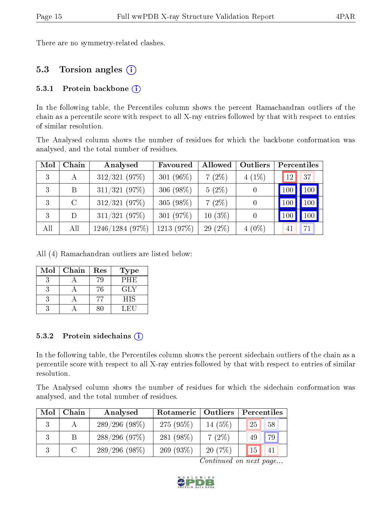There are no symmetry-related clashes.

### 5.3 Torsion angles (i)

#### 5.3.1 Protein backbone  $(i)$

In the following table, the Percentiles column shows the percent Ramachandran outliers of the chain as a percentile score with respect to all X-ray entries followed by that with respect to entries of similar resolution.

The Analysed column shows the number of residues for which the backbone conformation was analysed, and the total number of residues.

| Mol | Chain   | Analysed        | Favoured     | Allowed       | Outliers | Percentiles                |
|-----|---------|-----------------|--------------|---------------|----------|----------------------------|
| 3   | A       | $312/321$ (97%) | 301 $(96\%)$ | 7(2%)         | $4(1\%)$ | 37<br>12                   |
| 3   | B.      | $311/321$ (97%) | 306 $(98\%)$ | $5(2\%)$      |          | $\vert$ 100 $\vert$<br>100 |
| 3   | $\rm C$ | $312/321$ (97%) | $305(98\%)$  | 7(2%)         |          | 100<br>100                 |
| 3   | D       | $311/321$ (97%) | 301 $(97%)$  | $10(3\%)$     |          | 100<br>100                 |
| All | All     | 1246/1284(97%)  | $1213(97\%)$ | $(2\%)$<br>29 | $4(0\%)$ | 41                         |

All (4) Ramachandran outliers are listed below:

| Mol | Chain | $\operatorname{Res}% \left( \mathcal{N}\right) \equiv\operatorname{Res}(\mathcal{N}_{0})\cap\mathcal{N}_{1}$ | Type       |
|-----|-------|--------------------------------------------------------------------------------------------------------------|------------|
|     |       | 79                                                                                                           | <b>PHE</b> |
|     |       | 76                                                                                                           | GLY        |
|     |       |                                                                                                              | HIS        |
|     |       |                                                                                                              | U. HOLL    |

#### 5.3.2 Protein sidechains  $\hat{I}$

In the following table, the Percentiles column shows the percent sidechain outliers of the chain as a percentile score with respect to all X-ray entries followed by that with respect to entries of similar resolution.

The Analysed column shows the number of residues for which the sidechain conformation was analysed, and the total number of residues.

| Mol | Chain                       | Analysed         | Rotameric   Outliers |           | Percentiles             |  |
|-----|-----------------------------|------------------|----------------------|-----------|-------------------------|--|
|     |                             | $289/296(98\%)$  | $275(95\%)$          | 14 $(5%)$ | 25<br>58                |  |
|     | -B                          | $288/296$ (97\%) | 281 (98%)            | 7(2%)     | $\left[79\right]$<br>49 |  |
|     | $\mathcal{C}_{\mathcal{C}}$ | $289/296(98\%)$  | 269 $(93\%)$         | 20(7%)    | 15<br>41                |  |

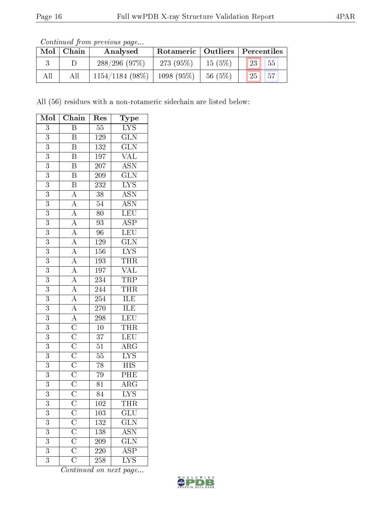| Continued from previous page |  |  |
|------------------------------|--|--|

| Mol | Chain | Analysed           | Rotameric   Outliers   Percentiles |           |                                 |
|-----|-------|--------------------|------------------------------------|-----------|---------------------------------|
|     |       | 288/296(97%)       | 273 $(95%)$                        | $15(5\%)$ | 23 <br>$\vert 55 \vert$         |
| All | All   | $1154/1184$ (98\%) | $1098(95\%)$                       | 56(5%)    | $\vert 25 \vert \vert 57 \vert$ |

All (56) residues with a non-rotameric sidechain are listed below:

| Mol            | Chain                                                                                                                                                                                                                                                                      | $\operatorname{Res}% \left( \mathcal{N}\right) \equiv\operatorname{Res}(\mathcal{N}_{0})\left( \mathcal{N}_{0}\right) ^{2}$ | Type                                                  |
|----------------|----------------------------------------------------------------------------------------------------------------------------------------------------------------------------------------------------------------------------------------------------------------------------|-----------------------------------------------------------------------------------------------------------------------------|-------------------------------------------------------|
| $\overline{3}$ | $\overline{\mathrm{B}}$                                                                                                                                                                                                                                                    | $\overline{55}$                                                                                                             | $\overline{\text{LYS}}$                               |
| 3              | B                                                                                                                                                                                                                                                                          | $1\,29$                                                                                                                     | $\frac{\overline{\text{GLN}}}{\text{GLN}}$            |
| $\overline{3}$ | $\overline{\mathrm{B}}$                                                                                                                                                                                                                                                    | $\overline{132}$                                                                                                            |                                                       |
| $\overline{3}$ | $\overline{B}$                                                                                                                                                                                                                                                             | 197                                                                                                                         | $\overline{\text{VAL}}$                               |
| 3              | $\overline{\mathrm{B}}$                                                                                                                                                                                                                                                    | $\overline{207}$                                                                                                            | $\overline{\mathrm{ASN}}$                             |
| $\overline{3}$ | $\overline{B}$                                                                                                                                                                                                                                                             | $209\,$                                                                                                                     | $\overline{\text{GLN}}$                               |
| $\overline{3}$ | $\overline{B}$                                                                                                                                                                                                                                                             | 232                                                                                                                         | $\overline{\text{LYS}}$                               |
| $\overline{3}$ |                                                                                                                                                                                                                                                                            | $\overline{38}$                                                                                                             | ASN<br>ASN                                            |
| 3              |                                                                                                                                                                                                                                                                            | $\overline{54}$                                                                                                             |                                                       |
| $\overline{3}$ |                                                                                                                                                                                                                                                                            | $\overline{80}$                                                                                                             | $\frac{\overline{\textrm{LEU}}}{\textrm{ASP}}$        |
| $\overline{3}$ |                                                                                                                                                                                                                                                                            | $\overline{93}$                                                                                                             |                                                       |
| $\overline{3}$ |                                                                                                                                                                                                                                                                            | 96                                                                                                                          | LEU                                                   |
| $\overline{3}$ | $\overline{A}\ \overline{A}\ \overline{A}\ \overline{A}\ \overline{A}\ \overline{A}\ \overline{A}\ \overline{A}\ \overline{A}\ \overline{A}\ \overline{A}\ \overline{A}\ \overline{C}\ \overline{C}\ \overline{C}\ \overline{C}\ \overline{C}\ \overline{C}\ \overline{C}$ | <sup>129</sup>                                                                                                              | $\overline{\text{GLN}}$                               |
| 3              |                                                                                                                                                                                                                                                                            | $156\,$                                                                                                                     | $\overline{\text{LYS}}$                               |
| $\overline{3}$ |                                                                                                                                                                                                                                                                            | <b>193</b>                                                                                                                  | <b>THR</b>                                            |
| $\overline{3}$ |                                                                                                                                                                                                                                                                            | $\overline{197}$                                                                                                            | $\overline{\text{VAL}}$                               |
| $\overline{3}$ |                                                                                                                                                                                                                                                                            | $\overline{234}$                                                                                                            | $\frac{\overline{\text{TRP}}}{\overline{\text{THR}}}$ |
| $\overline{3}$ |                                                                                                                                                                                                                                                                            | 244                                                                                                                         |                                                       |
| 3              |                                                                                                                                                                                                                                                                            | 254                                                                                                                         |                                                       |
| $\overline{3}$ |                                                                                                                                                                                                                                                                            | 270                                                                                                                         | $\frac{\overline{\text{ILE}}}{\overline{\text{ILE}}}$ |
| $\overline{3}$ |                                                                                                                                                                                                                                                                            | $2\overline{98}$                                                                                                            | $\frac{\overline{\text{LEU}}}{\text{THR}}$            |
| $\overline{3}$ |                                                                                                                                                                                                                                                                            | $\overline{10}$                                                                                                             |                                                       |
| $\overline{3}$ |                                                                                                                                                                                                                                                                            | 37                                                                                                                          | $\frac{\overline{\text{LEU}}}{\text{ARG}}$            |
| 3              |                                                                                                                                                                                                                                                                            | $\overline{51}$                                                                                                             |                                                       |
| $\overline{3}$ |                                                                                                                                                                                                                                                                            | $55\,$                                                                                                                      | $\frac{\overline{\text{LYS}}}{\text{HIS}}$            |
| $\overline{3}$ |                                                                                                                                                                                                                                                                            | $78\,$                                                                                                                      |                                                       |
| $\overline{3}$ |                                                                                                                                                                                                                                                                            | 79                                                                                                                          | $\overline{\rm PHE}$                                  |
| $\overline{3}$ |                                                                                                                                                                                                                                                                            | 81                                                                                                                          | $\overline{\rm ARG}$                                  |
| 3              |                                                                                                                                                                                                                                                                            | 84                                                                                                                          | $\overline{\rm LYS}$                                  |
| 3              | $\rm{C}$                                                                                                                                                                                                                                                                   | $102\,$                                                                                                                     | THR                                                   |
| $\overline{3}$ |                                                                                                                                                                                                                                                                            | 103                                                                                                                         | $\overline{{\rm GLU}}$                                |
| 3              | $\frac{\overline{C}}{\overline{C}}$                                                                                                                                                                                                                                        | 132                                                                                                                         | $\overline{\text{GLN}}$                               |
| 3              |                                                                                                                                                                                                                                                                            | 138                                                                                                                         | $A\overline{SN}$                                      |
| 3              | $\frac{\overline{C}}{\overline{C}}$                                                                                                                                                                                                                                        | 209                                                                                                                         | $\overline{\text{GLN}}$                               |
| $\overline{3}$ |                                                                                                                                                                                                                                                                            | 220                                                                                                                         | $\overline{\rm ASP}$                                  |
| 3              | $\overline{\overline{\rm C}}$                                                                                                                                                                                                                                              | 258                                                                                                                         | <b>LYS</b>                                            |

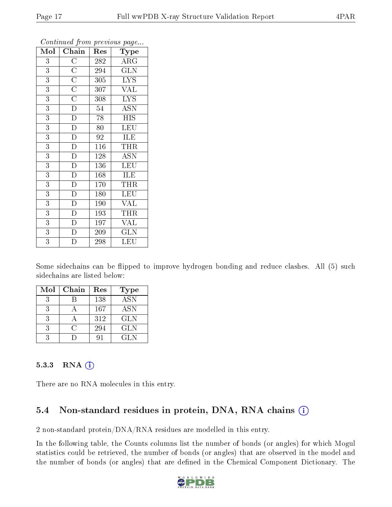| Mol            | Chain                               | Res              | Type                    |
|----------------|-------------------------------------|------------------|-------------------------|
| 3              | $\overline{C}$                      | 282              | $\overline{\rm ARG}$    |
| 3              |                                     | 294              | $\overline{\text{GLN}}$ |
| $\overline{3}$ | $\frac{\overline{C}}{\overline{C}}$ | 305              | <b>LYS</b>              |
| $\overline{3}$ |                                     | 307              | VAL                     |
| $\overline{3}$ | $\overline{\rm C}$                  | 308              | $\overline{\text{LYS}}$ |
| $\overline{3}$ | $\overline{\rm D}$                  | 54               | <b>ASN</b>              |
| $\overline{3}$ | $\overline{\rm D}$                  | 78               | <b>HIS</b>              |
| $\overline{3}$ | $\overline{D}$                      | 80               | <b>LEU</b>              |
| $\overline{3}$ | $\overline{\rm D}$                  | 92               | ILE                     |
| $\overline{3}$ | $\overline{D}$                      | $\overline{116}$ | THR                     |
| $\overline{3}$ | $\overline{\rm D}$                  | 128              | $\overline{A}$ SN       |
| 3              | $\overline{D}$                      | 136              | <b>LEU</b>              |
| 3              | $\overline{D}$                      | 168              | <b>ILE</b>              |
| 3              | $\overline{\rm D}$                  | 170              | THR                     |
| $\overline{3}$ | $\overline{\rm D}$                  | 180              | <b>LEU</b>              |
| 3              | $\overline{\rm D}$                  | 190              | <b>VAL</b>              |
| $\overline{3}$ | D                                   | 193              | THR                     |
| $\overline{3}$ | $\overline{D}$                      | 197              | <b>VAL</b>              |
| $\overline{3}$ | $\overline{\rm D}$                  | 209              | <b>GLN</b>              |
| $\overline{3}$ | $\overline{\rm D}$                  | 298              | $\overline{\text{LEU}}$ |

Some sidechains can be flipped to improve hydrogen bonding and reduce clashes. All (5) such sidechains are listed below:

| Mol | Chain | Res | <b>Type</b>      |
|-----|-------|-----|------------------|
|     |       | 138 | $\overline{ASN}$ |
|     |       | 167 | <b>ASN</b>       |
|     |       | 312 | <b>GLN</b>       |
|     |       | 294 | <b>GLN</b>       |
|     |       |     | GL N             |

#### 5.3.3 RNA [O](https://www.wwpdb.org/validation/2017/XrayValidationReportHelp#rna)i

There are no RNA molecules in this entry.

## 5.4 Non-standard residues in protein, DNA, RNA chains (i)

2 non-standard protein/DNA/RNA residues are modelled in this entry.

In the following table, the Counts columns list the number of bonds (or angles) for which Mogul statistics could be retrieved, the number of bonds (or angles) that are observed in the model and the number of bonds (or angles) that are defined in the Chemical Component Dictionary. The

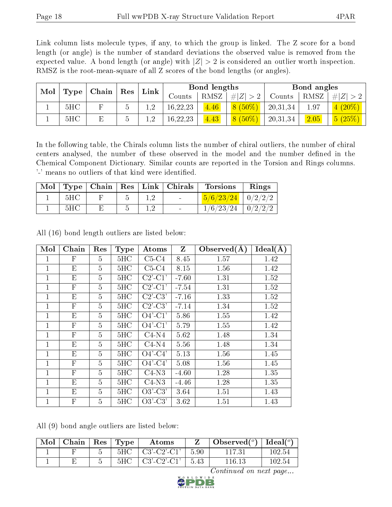Link column lists molecule types, if any, to which the group is linked. The Z score for a bond length (or angle) is the number of standard deviations the observed value is removed from the expected value. A bond length (or angle) with  $|Z| > 2$  is considered an outlier worth inspection. RMSZ is the root-mean-square of all Z scores of the bond lengths (or angles).

| Mol | Type | $\mid$ Chain $\mid$ | $\operatorname{Res}$ | Link |          | Bond lengths |             | Bond angles |      |           |
|-----|------|---------------------|----------------------|------|----------|--------------|-------------|-------------|------|-----------|
|     |      |                     |                      |      | Counts   | RMSZ         | $\# Z  > 2$ | Counts      | RMSZ | $\# Z $   |
|     | 5HC  |                     | b                    | . റ. | 16,22,23 | 4.46         | $8(50\%)$   | 20,31,34    | 1.97 | $4(20\%)$ |
|     | 5HC  |                     | b                    | റ    | 16,22,23 | 4.43         | $8(50\%)$   | 20,31,34    | 2.05 | 5(25%)    |

In the following table, the Chirals column lists the number of chiral outliers, the number of chiral centers analysed, the number of these observed in the model and the number defined in the Chemical Component Dictionary. Similar counts are reported in the Torsion and Rings columns. '-' means no outliers of that kind were identified.

| Mol |     |  | Type   Chain   Res   Link   Christmas | <b>Torsions</b>                                                                 | Rings |
|-----|-----|--|---------------------------------------|---------------------------------------------------------------------------------|-------|
|     | 5HC |  | $\sim 100$                            | $\left[\frac{5}{6}/\frac{23}{24}\right]$ $\left[\frac{0}{2}/\frac{2}{2}\right]$ |       |
|     | 5HC |  | $\sim$                                | $1/6/23/24$   $0/2/2/2$                                                         |       |

| Mol          | Chain                     | Res            | <b>Type</b> | Atoms                               | Z       | Observed $(A)$ | Ideal $(A)$ |
|--------------|---------------------------|----------------|-------------|-------------------------------------|---------|----------------|-------------|
| 1            | F                         | 5              | 5HC         | $C5-C4$                             | 8.45    | 1.57           | 1.42        |
| $\mathbf 1$  | E                         | 5              | 5HC         | $C5-C4$                             | 8.15    | 1.56           | 1.42        |
| 1            | E                         | 5              | 5HC         | $C2$ <sup>'</sup> -C <sup>1</sup> ' | $-7.60$ | 1.31           | 1.52        |
| 1            | $\mathbf{F}$              | 5              | 5HC         | $C2$ '- $C1$ '                      | $-7.54$ | 1.31           | 1.52        |
| $\mathbf{1}$ | E                         | $\overline{5}$ | 5HC         | $C2'-C3'$                           | $-7.16$ | 1.33           | 1.52        |
| $\mathbf 1$  | $\mathbf{F}$              | 5              | 5HC         | $C2$ '-C3'                          | $-7.14$ | 1.34           | 1.52        |
| 1            | E                         | 5              | 5HC         | $O4'$ -C1'                          | 5.86    | 1.55           | 1.42        |
| $\mathbf{1}$ | $\mathbf{F}$              | 5              | 5HC         | $O4'$ -C1'                          | 5.79    | 1.55           | 1.42        |
| 1            | $\mathbf{F}$              | 5              | 5HC         | $\overline{C4}$ -N4                 | 5.62    | 1.48           | 1.34        |
| $\mathbf{1}$ | E                         | 5              | 5HC         | $C4-N4$                             | 5.56    | 1.48           | 1.34        |
| 1            | E                         | 5              | 5HC         | $O4'$ -C4'                          | 5.13    | 1.56           | 1.45        |
| 1            | $\boldsymbol{\mathrm{F}}$ | $\overline{5}$ | 5HC         | $O4'$ -C4'                          | 5.08    | 1.56           | 1.45        |
| $\mathbf{1}$ | $\mathbf{F}$              | 5              | 5HC         | $C4-N3$                             | $-4.60$ | 1.28           | 1.35        |
| 1            | E                         | 5              | 5HC         | $C4-N3$                             | $-4.46$ | 1.28           | 1.35        |
| $\mathbf{1}$ | E                         | 5              | 5HC         | $O3'-C3'$                           | 3.64    | 1.51           | 1.43        |
| $\mathbf{1}$ | $\mathbf{F}$              | 5              | 5HC         | $O3'-C3'$                           | 3.62    | 1.51           | 1.43        |

All (16) bond length outliers are listed below:

All (9) bond angle outliers are listed below:

| Mol | $\mid$ Chain $\mid$ Res $\mid$ Type |                       |     | Atoms                                           |      | Observed( $^{\circ}$ )   Ideal( $^{\circ}$ ) |        |
|-----|-------------------------------------|-----------------------|-----|-------------------------------------------------|------|----------------------------------------------|--------|
|     |                                     | $\tilde{\phantom{a}}$ | 5HC | $\left\lfloor \text{C3'-C2'-C1}' \right\rfloor$ | 5.90 | 117.31                                       | 102.54 |
|     |                                     |                       | 5HC | C3'-C2'-C1'                                     | 5.43 | $116.13\,$                                   | 102.54 |

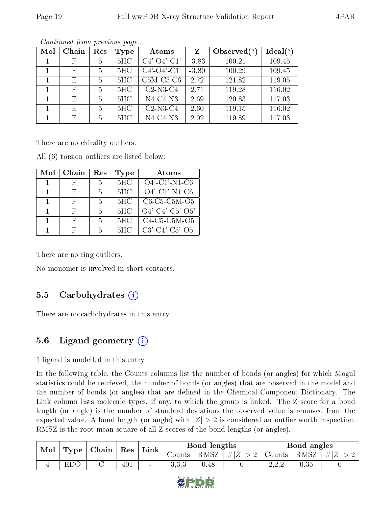| Mol | Chain        | Res | Type | Atoms                 | Z       | Observed $(°)$ | Ideal $(°)$ |
|-----|--------------|-----|------|-----------------------|---------|----------------|-------------|
|     | F            | 5   | 5HC  | $C4'$ - $O4'$ - $C1'$ | $-3.83$ | 100.21         | 109.45      |
|     | E            | 5   | 5HC  | $C4'$ - $O4'$ - $C1'$ | $-3.80$ | 100.29         | 109.45      |
|     | E            | 5   | 5HC  | $C5M-C5-C6$           | 2.72    | 121.82         | 119.05      |
|     | $\mathbf{F}$ | 5   | 5HC  | $C2$ -N3- $C4$        | 2.71    | 119.28         | 116.02      |
|     | E            | 5   | 5HC  | $N4-C4-N3$            | 2.69    | 120.83         | 117.03      |
|     | E            | 5   | 5HC  | $C2-N3-C4$            | 2.60    | 119.15         | 116.02      |
|     | $\mathbf{F}$ | 5   | 5HC  | $N4-C4-N3$            | 2.02    | 119.89         | 117.03      |

There are no chirality outliers.

All (6) torsion outliers are listed below:

| Mol | Chain | $\operatorname{Res}% \left( \mathcal{N}\right) \equiv\operatorname{Res}(\mathcal{N}_{0})\cap\mathcal{N}_{1}$ | Type | Atoms              |
|-----|-------|--------------------------------------------------------------------------------------------------------------|------|--------------------|
|     |       | 5                                                                                                            | 5HC  | $O4'$ -C1'-N1-C6   |
|     | Н.    | 5                                                                                                            | 5HC  | $O4'$ -C1'-N1-C6   |
|     |       | 5                                                                                                            | 5HC  | $C6-C5-C5M-O5$     |
|     | H,    | 5                                                                                                            | 5HC  | $O4'$ -C4'-C5'-O5' |
|     |       | .5                                                                                                           | 5HC  | $C4-C5-C5M-O5$     |
|     |       | h                                                                                                            | 5HC  | $C3'-C4'-C5'-O5'$  |

There are no ring outliers.

No monomer is involved in short contacts.

### 5.5 Carbohydrates  $(i)$

There are no carbohydrates in this entry.

## 5.6 Ligand geometry  $(i)$

1 ligand is modelled in this entry.

In the following table, the Counts columns list the number of bonds (or angles) for which Mogul statistics could be retrieved, the number of bonds (or angles) that are observed in the model and the number of bonds (or angles) that are defined in the Chemical Component Dictionary. The Link column lists molecule types, if any, to which the group is linked. The Z score for a bond length (or angle) is the number of standard deviations the observed value is removed from the expected value. A bond length (or angle) with  $|Z| > 2$  is considered an outlier worth inspection. RMSZ is the root-mean-square of all Z scores of the bond lengths (or angles).

| Mol | Type   | Chain | Res | Link   | Bond lengths |      |        | Bond angles                          |      |         |
|-----|--------|-------|-----|--------|--------------|------|--------|--------------------------------------|------|---------|
|     |        |       |     |        | Counts       | RMSZ | $\#Z'$ | Counts                               | RMSZ | $\#Z_1$ |
|     | $\cup$ |       | 401 | $\sim$ | U.U.∪        | 0.48 |        | റണ<br>$\Delta$ , $\Delta$ , $\Delta$ | 0.35 |         |

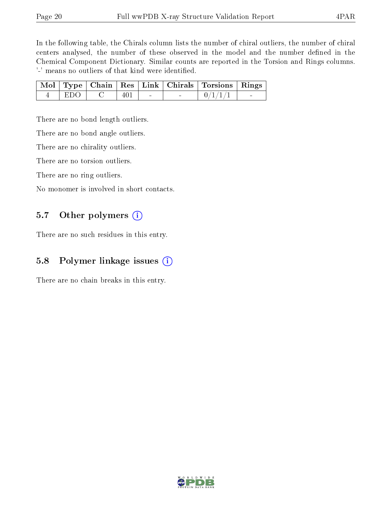In the following table, the Chirals column lists the number of chiral outliers, the number of chiral centers analysed, the number of these observed in the model and the number defined in the Chemical Component Dictionary. Similar counts are reported in the Torsion and Rings columns. '-' means no outliers of that kind were identified.

|         |     |  | Mol   Type   Chain   Res   Link   Chirals   Torsions   Rings |  |
|---------|-----|--|--------------------------------------------------------------|--|
| - EDO 1 | 401 |  | 0/1/1/1                                                      |  |

There are no bond length outliers.

There are no bond angle outliers.

There are no chirality outliers.

There are no torsion outliers.

There are no ring outliers.

No monomer is involved in short contacts.

#### 5.7 [O](https://www.wwpdb.org/validation/2017/XrayValidationReportHelp#nonstandard_residues_and_ligands)ther polymers  $(i)$

There are no such residues in this entry.

### 5.8 Polymer linkage issues  $(i)$

There are no chain breaks in this entry.

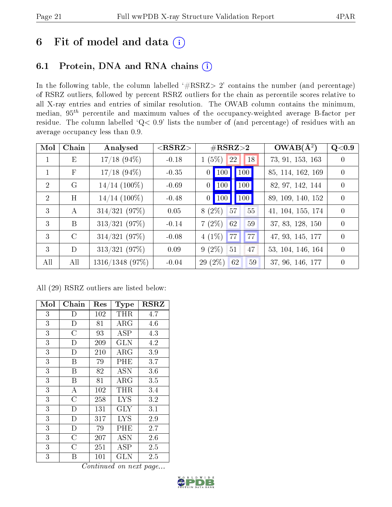# 6 Fit of model and data  $(i)$

# 6.1 Protein, DNA and RNA chains  $(i)$

In the following table, the column labelled  $#RSRZ> 2'$  contains the number (and percentage) of RSRZ outliers, followed by percent RSRZ outliers for the chain as percentile scores relative to all X-ray entries and entries of similar resolution. The OWAB column contains the minimum, median,  $95<sup>th</sup>$  percentile and maximum values of the occupancy-weighted average B-factor per residue. The column labelled ' $Q< 0.9$ ' lists the number of (and percentage) of residues with an average occupancy less than 0.9.

| Mol           | Chain        | Analysed        | $<$ RSRZ $>$ | $\#\text{RSRZ}{>}2$   | $OWAB(\overline{A^2})$ | Q <sub>0.9</sub> |
|---------------|--------------|-----------------|--------------|-----------------------|------------------------|------------------|
| $\mathbf{1}$  | Ε            | $17/18$ (94\%)  | $-0.18$      | 18<br>$1(5\%)$<br>22  | 73, 91, 153, 163       | $\overline{0}$   |
| $\mathbf{1}$  | $\mathbf{F}$ | $17/18$ (94\%)  | $-0.35$      | $0$ 100 100           | 85, 114, 162, 169      | $\overline{0}$   |
| 2             | G            | $14/14$ (100\%) | $-0.69$      | $0$   100 <br>100     | 82, 97, 142, 144       | $\overline{0}$   |
| 2             | H            | $14/14$ (100\%) | $-0.48$      | $0$   100 <br>100     | 89, 109, 140, 152      | $\overline{0}$   |
| $\mathcal{E}$ | А            | $314/321$ (97%) | 0.05         | 57<br>$8(2\%)$<br>55  | 41, 104, 155, 174      | $\theta$         |
| $\mathcal{E}$ | B            | $313/321$ (97%) | $-0.14$      | $7(2\%)$<br>62<br>59  | 37, 83, 128, 150       | $\theta$         |
| 3             | $\rm C$      | 314/321(97%)    | $-0.08$      | $4(1\%)$ 77<br>77     | 47, 93, 145, 177       | $\theta$         |
| $\mathcal{E}$ | D            | $313/321$ (97%) | 0.09         | $9(2\%)$<br>47<br>51  | 53, 104, 146, 164      | $\theta$         |
| All           | All          | 1316/1348 (97%) | $-0.04$      | $29(2\%)$<br>59<br>62 | 37, 96, 146, 177       | $\theta$         |

All (29) RSRZ outliers are listed below:

| Mol            | ${\rm Chain}$      | Res | Type         | $_{\rm RSRZ}$ |
|----------------|--------------------|-----|--------------|---------------|
| 3              | D                  | 102 | THR          | 4.7           |
| 3              | $\mathbf{D}$       | 81  | ${\rm ARG}$  | 4.6           |
| $\overline{3}$ | $\overline{\rm C}$ | 93  | ASP          | 4.3           |
| 3              | D                  | 209 | <b>GLN</b>   | 4.2           |
| $\overline{3}$ | D                  | 210 | ${\rm ARG}$  | 3.9           |
| $\overline{3}$ | B                  | 79  | PHE          | 3.7           |
| $\overline{3}$ | B                  | 82  | <b>ASN</b>   | 3.6           |
| $\overline{3}$ | Β                  | 81  | $\rm{ARG}$   | 3.5           |
| 3              | A                  | 102 | THR          | 3.4           |
| $\overline{3}$ | $\overline{\rm C}$ | 258 | <b>LYS</b>   | 3.2           |
| $\mathfrak{Z}$ | $\mathbf D$        | 131 | $\rm GLY$    | 3.1           |
| $\overline{3}$ | $\overline{D}$     | 317 | <b>LYS</b>   | 2.9           |
| $\overline{3}$ | $\overline{D}$     | 79  | PHE          | 2.7           |
| $\overline{3}$ | $\overline{C}$     | 207 | ASN          | 2.6           |
| $\overline{3}$ | C                  | 251 | <b>ASP</b>   | 2.5           |
| 3              | Β                  | 101 | $_{\rm GLN}$ | $2.5\,$       |

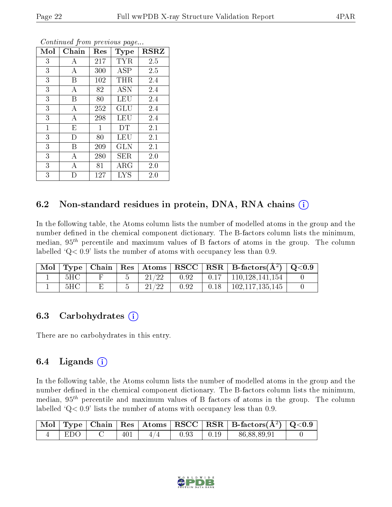| Mol          | Chain | Res          | Type              | $_{\rm RSRZ}$ |
|--------------|-------|--------------|-------------------|---------------|
| 3            | А     | 217          | TYR               | 2.5           |
| 3            | А     | 300          | <b>ASP</b>        | 2.5           |
| 3            | Β     | 102          | THR               | 2.4           |
| 3            | А     | 82           | <b>ASN</b>        | 2.4           |
| 3            | B     | 80           | LEU               | 2.4           |
| 3            | А     | 252          | GLU               | 2.4           |
| 3            | А     | 298          | LEU               | 2.4           |
| $\mathbf{1}$ | E     | $\mathbf{1}$ | DT                | 2.1           |
| 3            | D     | 80           | LEU               | 2.1           |
| 3            | B     | 209          | <b>GLN</b>        | 2.1           |
| 3            | А     | 280          | SER               | 2.0           |
| 3            | А     | 81           | ${\rm ARG}$       | 2.0           |
| 3            | D     | 127          | $_{\mathrm{LYS}}$ | 2.0           |

### 6.2 Non-standard residues in protein, DNA, RNA chains  $(i)$

In the following table, the Atoms column lists the number of modelled atoms in the group and the number defined in the chemical component dictionary. The B-factors column lists the minimum, median,  $95<sup>th</sup>$  percentile and maximum values of B factors of atoms in the group. The column labelled  $Q < 0.9$ ' lists the number of atoms with occupancy less than 0.9.

|     |  |       |      |      | $\mid$ Mol $\mid$ Type $\mid$ Chain $\mid$ Res $\mid$ Atoms $\mid$ RSCC $\mid$ RSR $\mid$ B-factors(A <sup>2</sup> ) $\mid$ Q<0.9 |  |
|-----|--|-------|------|------|-----------------------------------------------------------------------------------------------------------------------------------|--|
| 5HC |  | 21/22 | 0.92 |      | $\vert$ 0.17 $\vert$ 110,128,141,154                                                                                              |  |
| 5HC |  | 21/22 | 0.92 | 0.18 | 102,117,135,145                                                                                                                   |  |

### 6.3 Carbohydrates (i)

There are no carbohydrates in this entry.

### 6.4 Ligands  $(i)$

In the following table, the Atoms column lists the number of modelled atoms in the group and the number defined in the chemical component dictionary. The B-factors column lists the minimum, median,  $95<sup>th</sup>$  percentile and maximum values of B factors of atoms in the group. The column labelled  $Q< 0.9$ ' lists the number of atoms with occupancy less than 0.9.

|     |         |     |      |                  | $\begin{array}{ c c c c c c }\hline \text{Mol} & \text{Type} & \text{Chain} & \text{Res} & \text{Atoms} & \text{RSCC} & \text{RSR} & \text{B-factors}(\AA^2) & \text{Q}<\!\!0.9 \\\hline \end{array}$ |  |
|-----|---------|-----|------|------------------|-------------------------------------------------------------------------------------------------------------------------------------------------------------------------------------------------------|--|
| EDO | $401\,$ | 4/4 | 0.93 | $\pm$ 0.19 $\pm$ | 86,88,89,91                                                                                                                                                                                           |  |